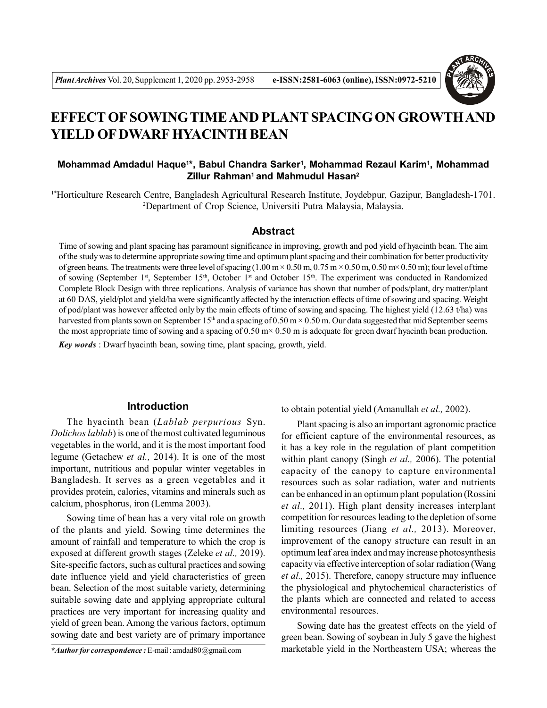

# **EFFECT OF SOWINGTIME AND PLANT SPACING ON GROWTH AND YIELD OF DWARF HYACINTH BEAN**

## **Mohammad Amdadul Haque<sup>1</sup> \*, Babul Chandra Sarker<sup>1</sup> , Mohammad Rezaul Karim<sup>1</sup> , Mohammad Zillur Rahman<sup>1</sup>and Mahmudul Hasan<sup>2</sup>**

1\*Horticulture Research Centre, Bangladesh Agricultural Research Institute, Joydebpur, Gazipur, Bangladesh-1701. <sup>2</sup>Department of Crop Science, Universiti Putra Malaysia, Malaysia.

# **Abstract**

Time of sowing and plant spacing has paramount significance in improving, growth and pod yield of hyacinth bean. The aim of the study was to determine appropriate sowing time and optimum plant spacing and their combination for better productivity of green beans. The treatments were three level of spacing  $(1.00 \text{ m} \times 0.50 \text{ m}, 0.75 \text{ m} \times 0.50 \text{ m}, 0.50 \text{ m} \times 0.50 \text{ m})$ ; four level of time of sowing (September 1s<sup>t</sup>, September 15<sup>th</sup>, October 1<sup>st</sup> and October 15<sup>th</sup>. The experiment was conducted in Randomized Complete Block Design with three replications. Analysis of variance has shown that number of pods/plant, dry matter/plant at 60 DAS, yield/plot and yield/ha were significantly affected by the interaction effects of time of sowing and spacing. Weight of pod/plant was however affected only by the main effects of time of sowing and spacing. The highest yield (12.63 t/ha) was harvested from plants sown on September 15<sup>th</sup> and a spacing of 0.50 m × 0.50 m. Our data suggested that mid September seems the most appropriate time of sowing and a spacing of  $0.50 \text{ m} \times 0.50 \text{ m}$  is adequate for green dwarf hyacinth bean production.

*Key words* : Dwarf hyacinth bean, sowing time, plant spacing, growth, yield.

### **Introduction**

The hyacinth bean (*Lablab perpurious* Syn. *Dolichos lablab*) is one of the most cultivated leguminous vegetables in the world, and it is the most important food legume (Getachew *et al.,* 2014). It is one of the most important, nutritious and popular winter vegetables in Bangladesh. It serves as a green vegetables and it provides protein, calories, vitamins and minerals such as calcium, phosphorus, iron (Lemma 2003).

Sowing time of bean has a very vital role on growth of the plants and yield. Sowing time determines the amount of rainfall and temperature to which the crop is exposed at different growth stages (Zeleke *et al.,* 2019). Site-specific factors, such as cultural practices and sowing date influence yield and yield characteristics of green bean. Selection of the most suitable variety, determining suitable sowing date and applying appropriate cultural practices are very important for increasing quality and yield of green bean. Among the various factors, optimum sowing date and best variety are of primary importance

*\*Author for correspondence :* E-mail : amdad80@gmail.com

to obtain potential yield (Amanullah *et al.,* 2002).

Plant spacing is also an important agronomic practice for efficient capture of the environmental resources, as it has a key role in the regulation of plant competition within plant canopy (Singh *et al.,* 2006). The potential capacity of the canopy to capture environmental resources such as solar radiation, water and nutrients can be enhanced in an optimum plant population (Rossini *et al.,* 2011). High plant density increases interplant competition for resources leading to the depletion of some limiting resources (Jiang *et al.,* 2013). Moreover, improvement of the canopy structure can result in an optimum leaf area index and may increase photosynthesis capacity via effective interception of solar radiation (Wang *et al.,* 2015). Therefore, canopy structure may influence the physiological and phytochemical characteristics of the plants which are connected and related to access environmental resources.

Sowing date has the greatest effects on the yield of green bean. Sowing of soybean in July 5 gave the highest marketable yield in the Northeastern USA; whereas the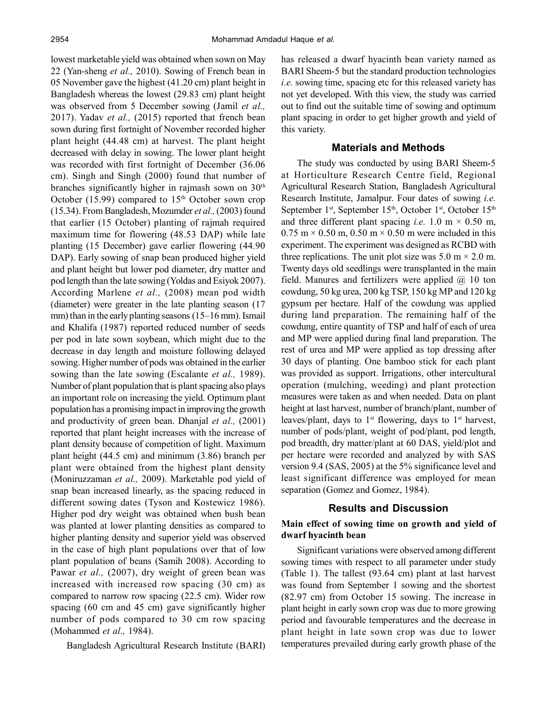lowest marketable yield was obtained when sown on May 22 (Yan-sheng *et al.,* 2010). Sowing of French bean in 05 November gave the highest (41.20 cm) plant height in Bangladesh whereas the lowest (29.83 cm) plant height was observed from 5 December sowing (Jamil *et al.,* 2017). Yadav *et al.,* (2015) reported that french bean sown during first fortnight of November recorded higher plant height (44.48 cm) at harvest. The plant height decreased with delay in sowing. The lower plant height was recorded with first fortnight of December (36.06 cm). Singh and Singh (2000) found that number of branches significantly higher in rajmash sown on  $30<sup>th</sup>$ October (15.99) compared to  $15<sup>th</sup>$  October sown crop (15.34). From Bangladesh, Mozumder *et al.,* (2003) found that earlier (15 October) planting of rajmah required maximum time for flowering (48.53 DAP) while late planting (15 December) gave earlier flowering (44.90 DAP). Early sowing of snap bean produced higher yield and plant height but lower pod diameter, dry matter and pod length than the late sowing (Yoldas and Esiyok 2007). According Marlene *et al.,* (2008) mean pod width (diameter) were greater in the late planting season (17 mm) than in the early planting seasons (15–16 mm). Ismail and Khalifa (1987) reported reduced number of seeds per pod in late sown soybean, which might due to the decrease in day length and moisture following delayed sowing. Higher number of pods was obtained in the earlier sowing than the late sowing (Escalante *et al.,* 1989). Number of plant population that is plant spacing also plays an important role on increasing the yield. Optimum plant population has a promising impact in improving the growth and productivity of green bean. Dhanjal *et al.,* (2001) reported that plant height increases with the increase of plant density because of competition of light. Maximum plant height (44.5 cm) and minimum (3.86) branch per plant were obtained from the highest plant density (Moniruzzaman *et al.,* 2009). Marketable pod yield of snap bean increased linearly, as the spacing reduced in different sowing dates (Tyson and Kostewicz 1986). Higher pod dry weight was obtained when bush bean was planted at lower planting densities as compared to higher planting density and superior yield was observed in the case of high plant populations over that of low plant population of beans (Samih 2008). According to Pawar *et al.*, (2007), dry weight of green bean was increased with increased row spacing (30 cm) as compared to narrow row spacing (22.5 cm). Wider row spacing (60 cm and 45 cm) gave significantly higher number of pods compared to 30 cm row spacing (Mohammed *et al.,* 1984).

Bangladesh Agricultural Research Institute (BARI)

has released a dwarf hyacinth bean variety named as BARI Sheem-5 but the standard production technologies *i.e.* sowing time, spacing etc for this released variety has not yet developed. With this view, the study was carried out to find out the suitable time of sowing and optimum plant spacing in order to get higher growth and yield of this variety.

### **Materials and Methods**

The study was conducted by using BARI Sheem-5 at Horticulture Research Centre field, Regional Agricultural Research Station, Bangladesh Agricultural Research Institute, Jamalpur. Four dates of sowing *i.e.* September 1<sup>st</sup>, September 15<sup>th</sup>, October 1<sup>st</sup>, October 15<sup>th</sup> and three different plant spacing *i.e.* 1.0 m  $\times$  0.50 m,  $0.75$  m  $\times$  0.50 m, 0.50 m  $\times$  0.50 m were included in this experiment. The experiment was designed as RCBD with three replications. The unit plot size was  $5.0 \text{ m} \times 2.0 \text{ m}$ . Twenty days old seedlings were transplanted in the main field. Manures and fertilizers were applied  $(a)$  10 ton cowdung, 50 kg urea, 200 kg TSP, 150 kg MP and 120 kg gypsum per hectare. Half of the cowdung was applied during land preparation. The remaining half of the cowdung, entire quantity of TSP and half of each of urea and MP were applied during final land preparation. The rest of urea and MP were applied as top dressing after 30 days of planting. One bamboo stick for each plant was provided as support. Irrigations, other intercultural operation (mulching, weeding) and plant protection measures were taken as and when needed. Data on plant height at last harvest, number of branch/plant, number of leaves/plant, days to  $1<sup>st</sup>$  flowering, days to  $1<sup>st</sup>$  harvest, number of pods/plant, weight of pod/plant, pod length, pod breadth, dry matter/plant at 60 DAS, yield/plot and per hectare were recorded and analyzed by with SAS version 9.4 (SAS, 2005) at the 5% significance level and least significant difference was employed for mean separation (Gomez and Gomez, 1984).

## **Results and Discussion**

#### **Main effect of sowing time on growth and yield of dwarf hyacinth bean**

Significant variations were observed among different sowing times with respect to all parameter under study (Table 1). The tallest (93.64 cm) plant at last harvest was found from September 1 sowing and the shortest (82.97 cm) from October 15 sowing. The increase in plant height in early sown crop was due to more growing period and favourable temperatures and the decrease in plant height in late sown crop was due to lower temperatures prevailed during early growth phase of the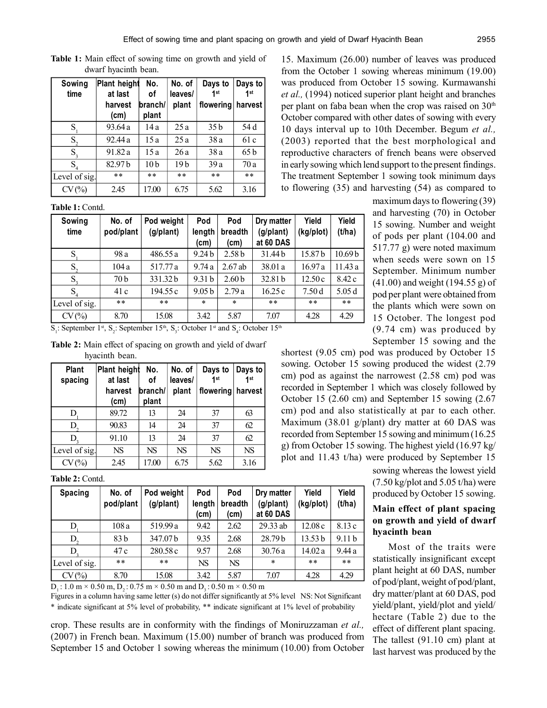| Sowing<br>time              | Plant height<br>at last<br>harvest<br>(cm) | No.<br>οf<br>branch/<br>plant | No. of<br>leaves/<br>plant | Days to<br>1 <sub>st</sub><br>flowering | Days to<br>1 <sub>st</sub><br>harvest |
|-----------------------------|--------------------------------------------|-------------------------------|----------------------------|-----------------------------------------|---------------------------------------|
| $S_{1}$                     | 93.64 a                                    | 14 a                          | 25a                        | 35 <sub>b</sub>                         | 54 d                                  |
| $S_{2}$                     | 92.44 a                                    | 15 a                          | 25a                        | 38a                                     | 61 c                                  |
| $S_{\rm a}$                 | 91.82 a                                    | 15a                           | 26a                        | 38a                                     | 65 b                                  |
| $S_{\scriptscriptstyle{4}}$ | 82.97b                                     | 10 <sub>b</sub>               | 19 b                       | 39a                                     | 70a                                   |
| Level of sig.               | $* *$                                      | $* *$                         | $* *$                      | $* *$                                   | $* *$                                 |
| CV(%)                       | 2.45                                       | 17.00                         | 6.75                       | 5.62                                    | 3.16                                  |

**Table 1:** Main effect of sowing time on growth and yield of dwarf hyacinth bean.

**Table 1:** Contd.

**Sowing No. of Pod weight Pod Pod Dry matter Yield Yield time pod/plant (g/plant) length breadth (g/plant) (kg/plot) (t/ha) (cm) (cm) at 60 DAS**  $S_1$ 98 a | 486.55 a | 9.24 b | 2.58 b | 31.44 b | 15.87 b | 10.69 b  $S<sub>z</sub>$ 104 a | 517.77 a | 9.74 a | 2.67 ab | 38.01 a | 16.97 a | 11.43 a  $S<sub>3</sub>$ 70 b 331.32 b 9.31 b 2.60 b 32.81 b 12.50 c 8.42 c  $S<sub>1</sub>$ 41 c | 194.55 c | 9.05 b | 2.79 a | 16.25 c | 7.50 d | 5.05 d Level of sig. \*\* \*\* \* \* \*\* \*\* \*\* CV (%) 8.70 15.08 3.42 5.87 7.07 4.28 4.29

 $S_1$ : September 1<sup>st</sup>,  $S_2$ : September 15<sup>th</sup>,  $S_3$ : October 1<sup>st</sup> and  $S_4$ : October 15<sup>th</sup>

**Table 2:** Main effect of spacing on growth and yield of dwarf hyacinth bean.

| <b>Plant</b><br>spacing | <b>Plant height</b><br>at last<br>harvest<br>(cm) | No.<br>οf<br>branch/<br>plant | No. of<br>leaves/<br>plant | Days to<br>4 <sub>st</sub><br>flowering | Days to<br>4 <sub>st</sub><br>harvest |
|-------------------------|---------------------------------------------------|-------------------------------|----------------------------|-----------------------------------------|---------------------------------------|
| D                       | 89.72                                             | 13                            | 24                         | 37                                      | 63                                    |
| D,                      | 90.83                                             | 14                            | 24                         | 37                                      | 62                                    |
| $D_{\rm{2}}$            | 91.10                                             | 13                            | 24                         | 37                                      | 62                                    |
| Level of sig.           | <b>NS</b>                                         | <b>NS</b>                     | <b>NS</b>                  | <b>NS</b>                               | <b>NS</b>                             |
| CV(%)                   | 2.45                                              | 17.00                         | 6.75                       | 5.62                                    | 3.16                                  |

#### **Table 2:** Contd.

| <b>Spacing</b> | No. of<br>pod/plant | Pod weight<br>(g/plant) | Pod<br>length<br>(cm) | Pod<br>breadth<br>(cm) | Dry matter<br>(g/plant)<br>at 60 DAS | Yield<br>(kg/plot) | Yield<br>(t/ha)   |
|----------------|---------------------|-------------------------|-----------------------|------------------------|--------------------------------------|--------------------|-------------------|
| D              | 108a                | 519.99 a                | 9.42                  | 2.62                   | 29.33 ab                             | 12.08c             | 8.13 c            |
| D,             | 83 b                | 347.07b                 | 9.35                  | 2.68                   | 28.79 h                              | 13.53 <sub>b</sub> | 9.11 <sub>b</sub> |
| D,             | 47 c                | 280.58 c                | 9.57                  | 2.68                   | 30.76a                               | 14.02a             | 9.44a             |
| Level of sig.  | $* *$               | $***$                   | NS                    | <b>NS</b>              | $\star$                              | $***$              | $***$             |
| CV(%)          | 8.70                | 15.08                   | 3.42                  | 5.87                   | 7.07                                 | 4.28               | 4.29              |

D<sub>1</sub>: 1.0 m  $\times$  0.50 m, D<sub>2</sub>: 0.75 m  $\times$  0.50 m and D<sub>2</sub>: 0.50 m  $\times$  0.50 m

Figures in a column having same letter (s) do not differ significantly at 5% level NS: Not Significant \* indicate significant at 5% level of probability, \*\* indicate significant at 1% level of probability

crop. These results are in conformity with the findings of Moniruzzaman *et al.,* (2007) in French bean. Maximum (15.00) number of branch was produced from September 15 and October 1 sowing whereas the minimum (10.00) from October

15. Maximum (26.00) number of leaves was produced from the October 1 sowing whereas minimum (19.00) was produced from October 15 sowing. Kurmawanshi *et al.,* (1994) noticed superior plant height and branches per plant on faba bean when the crop was raised on 30<sup>th</sup> October compared with other dates of sowing with every 10 days interval up to 10th December. Begum *et al.,* (2003) reported that the best morphological and reproductive characters of french beans were observed in early sowing which lend support to the present findings. The treatment September 1 sowing took minimum days to flowering (35) and harvesting (54) as compared to

> maximum days to flowering (39) and harvesting (70) in October 15 sowing. Number and weight of pods per plant (104.00 and 517.77 g) were noted maximum when seeds were sown on 15 September. Minimum number (41.00) and weight (194.55 g) of pod per plant were obtained from the plants which were sown on 15 October. The longest pod (9.74 cm) was produced by September 15 sowing and the

shortest (9.05 cm) pod was produced by October 15 sowing. October 15 sowing produced the widest (2.79 cm) pod as against the narrowest (2.58 cm) pod was recorded in September 1 which was closely followed by October 15 (2.60 cm) and September 15 sowing (2.67 cm) pod and also statistically at par to each other. Maximum (38.01 g/plant) dry matter at 60 DAS was recorded from September 15 sowing and minimum (16.25 g) from October 15 sowing. The highest yield (16.97 kg/ plot and 11.43 t/ha) were produced by September 15

> sowing whereas the lowest yield  $(7.50 \text{ kg/phot and } 5.05 \text{ t/ha})$  were produced by October 15 sowing.

# **Main effect of plant spacing on growth and yield of dwarf hyacinth bean**

Most of the traits were statistically insignificant except plant height at 60 DAS, number of pod/plant, weight of pod/plant, dry matter/plant at 60 DAS, pod yield/plant, yield/plot and yield/ hectare (Table 2) due to the effect of different plant spacing. The tallest (91.10 cm) plant at last harvest was produced by the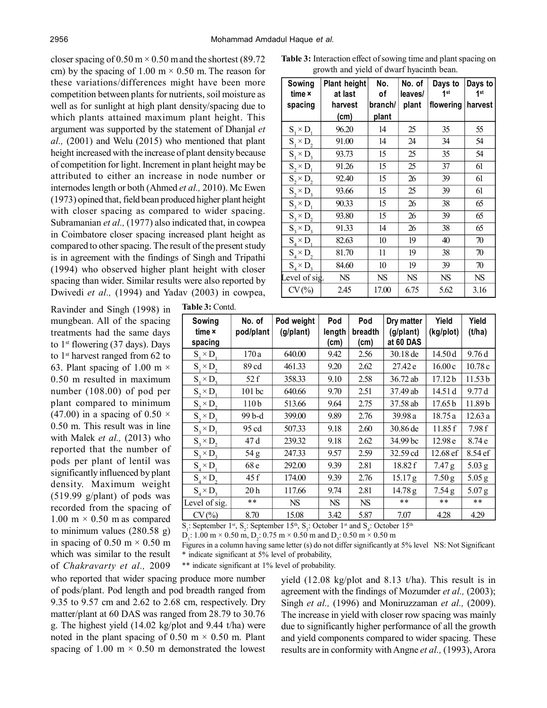closer spacing of  $0.50 \text{ m} \times 0.50 \text{ m}$  and the shortest (89.72) cm) by the spacing of 1.00 m  $\times$  0.50 m. The reason for these variations/differences might have been more competition between plants for nutrients, soil moisture as well as for sunlight at high plant density/spacing due to which plants attained maximum plant height. This argument was supported by the statement of Dhanjal *et al.,* (2001) and Welu (2015) who mentioned that plant height increased with the increase of plant density because of competition for light. Increment in plant height may be attributed to either an increase in node number or internodes length or both (Ahmed *et al.,* 2010). Mc Ewen (1973) opined that, field bean produced higher plant height with closer spacing as compared to wider spacing. Subramanian *et al.,* (1977) also indicated that, in cowpea in Coimbatore closer spacing increased plant height as compared to other spacing. The result of the present study is in agreement with the findings of Singh and Tripathi (1994) who observed higher plant height with closer spacing than wider. Similar results were also reported by Dwivedi *et al.,* (1994) and Yadav (2003) in cowpea,

Ravinder and Singh (1998) in mungbean. All of the spacing treatments had the same days to  $1<sup>st</sup>$  flowering (37 days). Days to 1st harvest ranged from 62 to 63. Plant spacing of 1.00 m  $\times$ 0.50 m resulted in maximum number (108.00) of pod per plant compared to minimum (47.00) in a spacing of 0.50  $\times$ 0.50 m. This result was in line with Malek *et al.,* (2013) who reported that the number of pods per plant of lentil was significantly influenced by plant density. Maximum weight (519.99 g/plant) of pods was recorded from the spacing of  $1.00 \text{ m} \times 0.50 \text{ m}$  as compared to minimum values (280.58 g) in spacing of  $0.50 \text{ m} \times 0.50 \text{ m}$ which was similar to the result of *Chakravarty et al.,* 2009

|  | <b>Table 3: Contd.</b> |
|--|------------------------|
|--|------------------------|

| <b>Table 3:</b> Interaction effect of sowing time and plant spacing on |  |
|------------------------------------------------------------------------|--|
| growth and yield of dwarf hyacinth bean.                               |  |

| Sowing<br>time x | Plant height<br>at last | No.<br>of | No. of<br>leaves/ | Days to<br>1 <sup>st</sup> | Days to<br>1 <sup>st</sup> |
|------------------|-------------------------|-----------|-------------------|----------------------------|----------------------------|
| spacing          | harvest                 | branch/   | plant             | flowering                  | harvest                    |
|                  | (cm)                    | plant     |                   |                            |                            |
| $S_1 \times D_1$ | 96.20                   | 14        | 25                | 35                         | 55                         |
| $S_1 \times D_2$ | 91.00                   | 14        | 24                | 34                         | 54                         |
| $S_1 \times D_3$ | 93.73                   | 15        | 25                | 35                         | 54                         |
| $S_2 \times D_1$ | 91.26                   | 15        | 25                | 37                         | 61                         |
| $S_2 \times D_2$ | 92.40                   | 15        | 26                | 39                         | 61                         |
| $S_2 \times D_3$ | 93.66                   | 15        | 25                | 39                         | 61                         |
| $S_3 \times D_1$ | 90.33                   | 15        | 26                | 38                         | 65                         |
| $S_3 \times D_2$ | 93.80                   | 15        | 26                | 39                         | 65                         |
| $S_3 \times D_3$ | 91.33                   | 14        | 26                | 38                         | 65                         |
| $S_4 \times D_1$ | 82.63                   | 10        | 19                | 40                         | 70                         |
| $S_4 \times D_2$ | 81.70                   | 11        | 19                | 38                         | 70                         |
| $S_4 \times D_3$ | 84.60                   | 10        | 19                | 39                         | 70                         |
| evel of sig.     | <b>NS</b>               | <b>NS</b> | <b>NS</b>         | <b>NS</b>                  | <b>NS</b>                  |
| CV(%)            | 2.45                    | 17.00     | 6.75              | 5.62                       | 3.16                       |

| Sowing<br>time ×<br>spacing | No. of<br>pod/plant | Pod weight<br>(g/plant) | Pod<br>length<br>(cm) | Pod<br>breadth<br>(cm) | Dry matter<br>(g/plant)<br>at 60 DAS | Yield<br>(kg/plot) | Yield<br>(t/ha)    |
|-----------------------------|---------------------|-------------------------|-----------------------|------------------------|--------------------------------------|--------------------|--------------------|
| $S_1 \times D_1$            | 170a                | 640.00                  | 9.42                  | 2.56                   | 30.18 de                             | 14.50 d            | 9.76d              |
| $S_1 \times D_2$            | 89 cd               | 461.33                  | 9.20                  | 2.62                   | 27.42 e                              | 16.00c             | 10.78 c            |
| $S_1 \times D_2$            | 52 f                | 358.33                  | 9.10                  | 2.58                   | 36.72 ab                             | 17.12 b            | 11.53 <sub>b</sub> |
| $S_2 \times D_1$            | 101 <sub>bc</sub>   | 640.66                  | 9.70                  | 2.51                   | 37.49 ab                             | 14.51 d            | 9.77d              |
| $S_{2} \times D_{2}$        | 110 <sub>b</sub>    | 513.66                  | 9.64                  | 2.75                   | 37.58 ab                             | 17.65 <sub>b</sub> | 11.89b             |
| $S_{2} \times D_{3}$        | 99 b-d              | 399.00                  | 9.89                  | 2.76                   | 39.98 a                              | 18.75a             | 12.63a             |
| $S_{3} \times D_{1}$        | 95 cd               | 507.33                  | 9.18                  | 2.60                   | 30.86 de                             | 11.85f             | 7.98 f             |
| $S_3 \times D_2$            | 47 d                | 239.32                  | 9.18                  | 2.62                   | 34.99 bc                             | 12.98 <sub>e</sub> | 8.74 e             |
| $S_{3} \times D_{3}$        | 54 g                | 247.33                  | 9.57                  | 2.59                   | 32.59 cd                             | 12.68 ef           | 8.54 ef            |
| $S_4 \times D_1$            | 68 e                | 292.00                  | 9.39                  | 2.81                   | 18.82 f                              | 7.47 <sub>g</sub>  | $5.03$ g           |
| $S_4 \times D_2$            | 45 f                | 174.00                  | 9.39                  | 2.76                   | 15.17 g                              | 7.50 <sub>g</sub>  | $5.05$ g           |
| $S_{4} \times D_{3}$        | 20 <sub>h</sub>     | 117.66                  | 9.74                  | 2.81                   | 14.78 g                              | 7.54 g             | $5.07$ g           |
| Level of sig.               | $* *$               | <b>NS</b>               | NS.                   | <b>NS</b>              | $***$                                | $* *$              | $* *$              |
| CV(%)                       | 8.70                | 15.08                   | 3.42                  | 5.87                   | 7.07                                 | 4.28               | 4.29               |

 $S_1$ : September 1<sup>st</sup>,  $S_2$ : September 15<sup>th</sup>,  $S_3$ : October 1<sup>st</sup> and  $S_4$ : October 15<sup>th</sup>

 $D_1$ : 1.00 m × 0.50 m,  $D_2$ : 0.75 m × 0.50 m and  $D_3$ : 0.50 m × 0.50 m

Figures in a column having same letter (s) do not differ significantly at 5% level NS: Not Significant \* indicate significant at 5% level of probability,

\*\* indicate significant at 1% level of probability.

who reported that wider spacing produce more number of pods/plant. Pod length and pod breadth ranged from 9.35 to 9.57 cm and 2.62 to 2.68 cm, respectively. Dry matter/plant at 60 DAS was ranged from 28.79 to 30.76 g. The highest yield (14.02 kg/plot and 9.44 t/ha) were noted in the plant spacing of 0.50 m  $\times$  0.50 m. Plant spacing of 1.00 m  $\times$  0.50 m demonstrated the lowest yield (12.08 kg/plot and 8.13 t/ha). This result is in agreement with the findings of Mozumder *et al.,* (2003); Singh *et al.,* (1996) and Moniruzzaman *et al.,* (2009). The increase in yield with closer row spacing was mainly due to significantly higher performance of all the growth and yield components compared to wider spacing. These results are in conformity with Angne *et al.,* (1993), Arora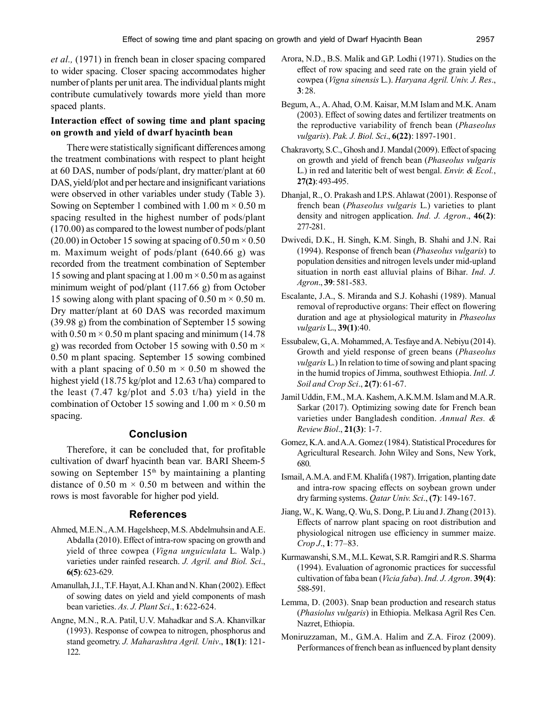*et al.,* (1971) in french bean in closer spacing compared to wider spacing. Closer spacing accommodates higher number of plants per unit area. The individual plants might contribute cumulatively towards more yield than more spaced plants.

#### **Interaction effect of sowing time and plant spacing on growth and yield of dwarf hyacinth bean**

There were statistically significant differences among the treatment combinations with respect to plant height at 60 DAS, number of pods/plant, dry matter/plant at 60 DAS, yield/plot and per hectare and insignificant variations were observed in other variables under study (Table 3). Sowing on September 1 combined with  $1.00 \text{ m} \times 0.50 \text{ m}$ spacing resulted in the highest number of pods/plant (170.00) as compared to the lowest number of pods/plant (20.00) in October 15 sowing at spacing of  $0.50 \text{ m} \times 0.50$ m. Maximum weight of pods/plant (640.66 g) was recorded from the treatment combination of September 15 sowing and plant spacing at  $1.00 \text{ m} \times 0.50 \text{ m}$  as against minimum weight of pod/plant (117.66 g) from October 15 sowing along with plant spacing of 0.50 m  $\times$  0.50 m. Dry matter/plant at 60 DAS was recorded maximum (39.98 g) from the combination of September 15 sowing with  $0.50 \text{ m} \times 0.50 \text{ m}$  plant spacing and minimum (14.78) g) was recorded from October 15 sowing with 0.50 m  $\times$ 0.50 m plant spacing. September 15 sowing combined with a plant spacing of  $0.50 \text{ m} \times 0.50 \text{ m}$  showed the highest yield (18.75 kg/plot and 12.63 t/ha) compared to the least (7.47 kg/plot and 5.03 t/ha) yield in the combination of October 15 sowing and 1.00 m  $\times$  0.50 m spacing.

## **Conclusion**

Therefore, it can be concluded that, for profitable cultivation of dwarf hyacinth bean var. BARI Sheem-5 sowing on September  $15<sup>th</sup>$  by maintaining a planting distance of 0.50 m  $\times$  0.50 m between and within the rows is most favorable for higher pod yield.

#### **References**

- Ahmed, M.E.N., A.M. Hagelsheep, M.S. Abdelmuhsin and A.E. Abdalla (2010). Effect of intra-row spacing on growth and yield of three cowpea (*Vigna unguiculata* L. Walp.) varieties under rainfed research. *J. Agril. and Biol. Sci*., **6(5)**: 623-629.
- Amanullah, J.I., T.F. Hayat, A.I. Khan and N. Khan (2002). Effect of sowing dates on yield and yield components of mash bean varieties. *As. J. Plant Sci*., **1**: 622-624.
- Angne, M.N., R.A. Patil, U.V. Mahadkar and S.A. Khanvilkar (1993). Response of cowpea to nitrogen, phosphorus and stand geometry. *J. Maharashtra Agril. Univ*., **18(1)**: 121- 122.
- Arora, N.D., B.S. Malik and G.P. Lodhi (1971). Studies on the effect of row spacing and seed rate on the grain yield of cowpea (*Vigna sinensis* L.). *Haryana Agril. Univ. J. Res*., **3**: 28.
- Begum, A., A. Ahad, O.M. Kaisar, M.M Islam and M.K. Anam (2003). Effect of sowing dates and fertilizer treatments on the reproductive variability of french bean (*Phaseolus vulgaris*). *Pak. J. Biol. Sci*., **6(22)**: 1897-1901.
- Chakravorty, S.C., Ghosh and J. Mandal (2009). Effect of spacing on growth and yield of french bean (*Phaseolus vulgaris* L.) in red and lateritic belt of west bengal. *Envir. & Ecol.*, **27(2)**: 493-495.
- Dhanjal, R., O. Prakash and I.P.S. Ahlawat (2001). Response of french bean (*Phaseolus vulgaris* L.) varieties to plant density and nitrogen application. *Ind. J. Agron*., **46(2)**: 277-281.
- Dwivedi, D.K., H. Singh, K.M. Singh, B. Shahi and J.N. Rai (1994). Response of french bean (*Phaseolus vulgaris*) to population densities and nitrogen levels under mid-upland situation in north east alluvial plains of Bihar. *Ind. J. Agron*., **39**: 581-583.
- Escalante, J.A., S. Miranda and S.J. Kohashi (1989). Manual removal of reproductive organs: Their effect on flowering duration and age at physiological maturity in *Phaseolus vulgaris* L., **39(1)**:40.
- Essubalew, G., A. Mohammed, A. Tesfaye and A. Nebiyu (2014). Growth and yield response of green beans (*Phaseolus vulgaris* L.) In relation to time of sowing and plant spacing in the humid tropics of Jimma, southwest Ethiopia. *Intl. J. Soil and Crop Sci*., **2(7)**: 61-67.
- Jamil Uddin, F.M., M.A. Kashem, A.K.M.M. Islam and M.A.R. Sarkar (2017). Optimizing sowing date for French bean varieties under Bangladesh condition. *Annual Res. & Review Biol*., **21(3)**: 1-7.
- Gomez, K.A. and A.A. Gomez (1984). Statistical Procedures for Agricultural Research. John Wiley and Sons, New York, 680.
- Ismail, A.M.A. and F.M. Khalifa (1987). Irrigation, planting date and intra-row spacing effects on soybean grown under dry farming systems. *Qatar Univ. Sci*., **(7)**: 149-167.
- Jiang, W., K. Wang, Q. Wu, S. Dong, P. Liu and J. Zhang (2013). Effects of narrow plant spacing on root distribution and physiological nitrogen use efficiency in summer maize. *Crop J*., **1**: 77–83.
- Kurmawanshi, S.M., M.L. Kewat, S.R. Ramgiri and R.S. Sharma (1994). Evaluation of agronomic practices for successful cultivation of faba bean (*Vicia faba*). *Ind. J. Agron*. **39(4)**: 588-591.
- Lemma, D. (2003). Snap bean production and research status (*Phasiolus vulgaris*) in Ethiopia. Melkasa Agril Res Cen. Nazret, Ethiopia.
- Moniruzzaman, M., G.M.A. Halim and Z.A. Firoz (2009). Performances of french bean as influenced by plant density